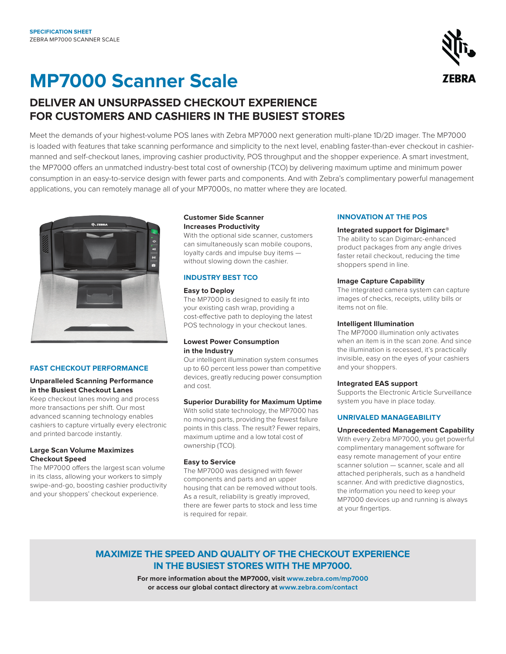# **MP7000 Scanner Scale**

## **DELIVER AN UNSURPASSED CHECKOUT EXPERIENCE FOR CUSTOMERS AND CASHIERS IN THE BUSIEST STORES**

Meet the demands of your highest-volume POS lanes with Zebra MP7000 next generation multi-plane 1D/2D imager. The MP7000 is loaded with features that take scanning performance and simplicity to the next level, enabling faster-than-ever checkout in cashiermanned and self-checkout lanes, improving cashier productivity, POS throughput and the shopper experience. A smart investment, the MP7000 offers an unmatched industry-best total cost of ownership (TCO) by delivering maximum uptime and minimum power consumption in an easy-to-service design with fewer parts and components. And with Zebra's complimentary powerful management applications, you can remotely manage all of your MP7000s, no matter where they are located.



#### **FAST CHECKOUT PERFORMANCE**

#### **Unparalleled Scanning Performance in the Busiest Checkout Lanes**

Keep checkout lanes moving and process more transactions per shift. Our most advanced scanning technology enables cashiers to capture virtually every electronic and printed barcode instantly.

#### **Large Scan Volume Maximizes Checkout Speed**

The MP7000 offers the largest scan volume in its class, allowing your workers to simply swipe-and-go, boosting cashier productivity and your shoppers' checkout experience.

#### **Customer Side Scanner Increases Productivity**

With the optional side scanner, customers can simultaneously scan mobile coupons, loyalty cards and impulse buy items without slowing down the cashier.

#### **INDUSTRY BEST TCO**

#### **Easy to Deploy**

The MP7000 is designed to easily fit into your existing cash wrap, providing a cost-effective path to deploying the latest POS technology in your checkout lanes.

#### **Lowest Power Consumption in the Industry**

Our intelligent illumination system consumes up to 60 percent less power than competitive devices, greatly reducing power consumption and cost.

#### **Superior Durability for Maximum Uptime**

With solid state technology, the MP7000 has no moving parts, providing the fewest failure points in this class. The result? Fewer repairs, maximum uptime and a low total cost of ownership (TCO).

#### **Easy to Service**

The MP7000 was designed with fewer components and parts and an upper housing that can be removed without tools. As a result, reliability is greatly improved, there are fewer parts to stock and less time is required for repair.

#### **INNOVATION AT THE POS**

#### **Integrated support for Digimarc®**

The ability to scan Digimarc-enhanced product packages from any angle drives faster retail checkout, reducing the time shoppers spend in line.

#### **Image Capture Capability**

The integrated camera system can capture images of checks, receipts, utility bills or items not on file.

#### **Intelligent Illumination**

The MP7000 illumination only activates when an item is in the scan zone. And since the illumination is recessed, it's practically invisible, easy on the eyes of your cashiers and your shoppers.

#### **Integrated EAS support**

Supports the Electronic Article Surveillance system you have in place today.

#### **UNRIVALED MANAGEABILITY**

#### **Unprecedented Management Capability**

With every Zebra MP7000, you get powerful complimentary management software for easy remote management of your entire scanner solution — scanner, scale and all attached peripherals, such as a handheld scanner. And with predictive diagnostics, the information you need to keep your MP7000 devices up and running is always at your fingertips.

### **MAXIMIZE THE SPEED AND QUALITY OF THE CHECKOUT EXPERIENCE IN THE BUSIEST STORES WITH THE MP7000.**

**For more information about the MP7000, visit [www.zebra.com/mp7000](http://www.zebra.com/mp7000) or access our global contact directory at [www.zebra.com/contact](http://www.zebra.com/contact)**